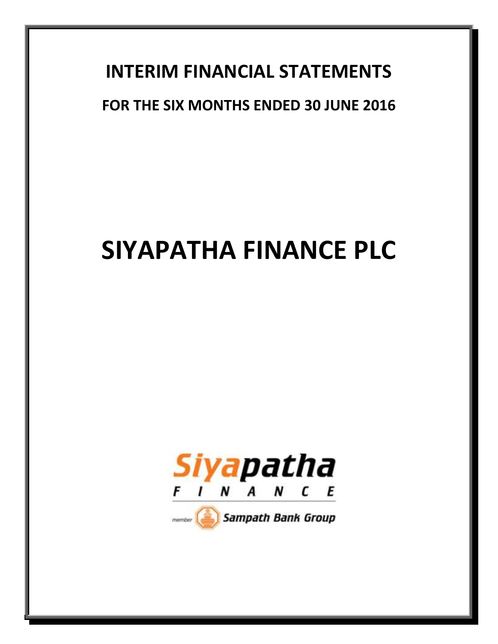# **INTERIM FINANCIAL STATEMENTS**

# **FOR THE SIX MONTHS ENDED 30 JUNE 2016**

# **SIYAPATHA FINANCE PLC**



 $m$ ember

Sampath Bank Group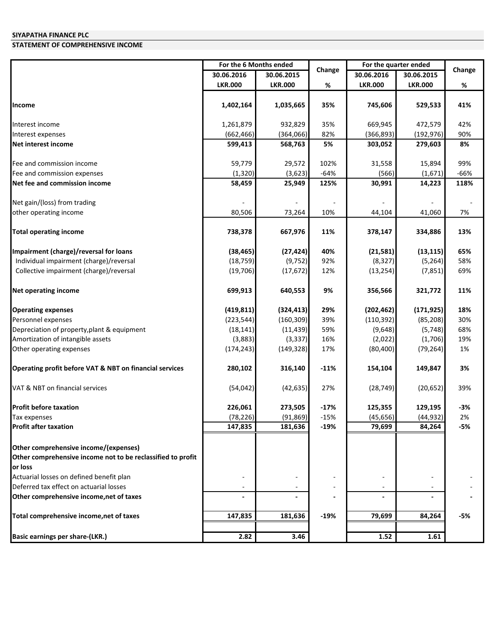### **STATEMENT OF COMPREHENSIVE INCOME**

|                                                             | For the 6 Months ended |                | For the quarter ended |                |                |        |
|-------------------------------------------------------------|------------------------|----------------|-----------------------|----------------|----------------|--------|
|                                                             | 30.06.2016             | 30.06.2015     | Change                | 30.06.2016     | 30.06.2015     | Change |
|                                                             | <b>LKR.000</b>         | <b>LKR.000</b> | %                     | <b>LKR.000</b> | <b>LKR.000</b> | %      |
|                                                             |                        |                |                       |                |                |        |
| Income                                                      | 1,402,164              | 1,035,665      | 35%                   | 745,606        | 529,533        | 41%    |
| Interest income                                             | 1,261,879              | 932,829        | 35%                   | 669,945        | 472,579        | 42%    |
| Interest expenses                                           | (662, 466)             | (364,066)      | 82%                   | (366, 893)     | (192, 976)     | 90%    |
| Net interest income                                         | 599,413                | 568,763        | 5%                    | 303,052        | 279,603        | 8%     |
| Fee and commission income                                   | 59,779                 | 29,572         | 102%                  | 31,558         | 15,894         | 99%    |
| Fee and commission expenses                                 | (1, 320)               | (3,623)        | $-64%$                | (566)          | (1,671)        | -66%   |
| Net fee and commission income                               | 58,459                 | 25,949         | 125%                  | 30,991         | 14,223         | 118%   |
| Net gain/(loss) from trading                                |                        |                |                       |                |                |        |
| other operating income                                      | 80,506                 | 73,264         | 10%                   | 44,104         | 41,060         | 7%     |
|                                                             |                        |                |                       |                |                |        |
| <b>Total operating income</b>                               | 738,378                | 667,976        | 11%                   | 378,147        | 334,886        | 13%    |
| Impairment (charge)/reversal for loans                      | (38, 465)              | (27, 424)      | 40%                   | (21,581)       | (13, 115)      | 65%    |
| Individual impairment (charge)/reversal                     | (18, 759)              | (9, 752)       | 92%                   | (8, 327)       | (5, 264)       | 58%    |
| Collective impairment (charge)/reversal                     | (19, 706)              | (17, 672)      | 12%                   | (13, 254)      | (7, 851)       | 69%    |
| <b>Net operating income</b>                                 | 699,913                | 640,553        | 9%                    | 356,566        | 321,772        | 11%    |
| <b>Operating expenses</b>                                   | (419, 811)             | (324, 413)     | 29%                   | (202, 462)     | (171, 925)     | 18%    |
| Personnel expenses                                          | (223, 544)             | (160, 309)     | 39%                   | (110, 392)     | (85, 208)      | 30%    |
| Depreciation of property, plant & equipment                 | (18, 141)              | (11, 439)      | 59%                   | (9,648)        | (5, 748)       | 68%    |
| Amortization of intangible assets                           | (3,883)                | (3, 337)       | 16%                   | (2,022)        | (1,706)        | 19%    |
| Other operating expenses                                    | (174, 243)             | (149, 328)     | 17%                   | (80, 400)      | (79, 264)      | 1%     |
| Operating profit before VAT & NBT on financial services     | 280,102                | 316,140        | $-11%$                | 154,104        | 149,847        | 3%     |
| VAT & NBT on financial services                             | (54, 042)              | (42, 635)      | 27%                   | (28, 749)      | (20, 652)      | 39%    |
| <b>Profit before taxation</b>                               | 226,061                | 273,505        | $-17%$                | 125,355        | 129,195        | $-3%$  |
| Tax expenses                                                | (78, 226)              | (91, 869)      | $-15%$                | (45, 656)      | (44, 932)      | 2%     |
| <b>Profit after taxation</b>                                | 147,835                | 181,636        | $-19%$                | 79,699         | 84,264         | -5%    |
| Other comprehensive income/(expenses)                       |                        |                |                       |                |                |        |
| Other comprehensive income not to be reclassified to profit |                        |                |                       |                |                |        |
| or loss                                                     |                        |                |                       |                |                |        |
| Actuarial losses on defined benefit plan                    |                        |                |                       |                |                |        |
| Deferred tax effect on actuarial losses                     |                        |                |                       |                |                |        |
| Other comprehensive income, net of taxes                    |                        |                |                       |                |                |        |
| Total comprehensive income, net of taxes                    | 147,835                | 181,636        | -19%                  | 79,699         | 84,264         | -5%    |
|                                                             |                        |                |                       |                |                |        |
| <b>Basic earnings per share-(LKR.)</b>                      | 2.82                   | 3.46           |                       | 1.52           | 1.61           |        |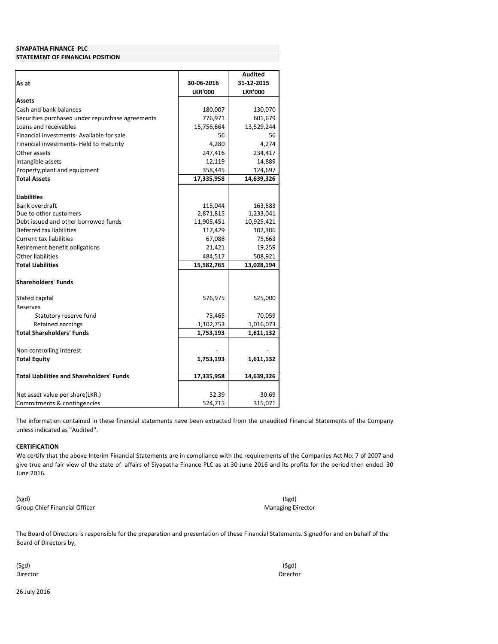#### **STATEMENT OF FINANCIAL POSITION**

|                                                  | 30-06-2016     | <b>Audited</b><br>31-12-2015 |
|--------------------------------------------------|----------------|------------------------------|
| As at                                            | <b>LKR'000</b> | <b>LKR'000</b>               |
| Assets                                           |                |                              |
| Cash and bank balances                           | 180,007        | 130,070                      |
| Securities purchased under repurchase agreements | 776,971        | 601,679                      |
| Loans and receivables                            | 15,756,664     | 13,529,244                   |
| Financial investments- Available for sale        | 56             | 56                           |
| Financial investments- Held to maturity          | 4,280          | 4,274                        |
| Other assets                                     | 247,416        | 234,417                      |
| Intangible assets                                | 12,119         | 14,889                       |
| Property, plant and equipment                    | 358,445        | 124,697                      |
| <b>Total Assets</b>                              | 17,335,958     | 14,639,326                   |
| <b>Liabilities</b>                               |                |                              |
| Bank overdraft                                   | 115,044        | 163,583                      |
| Due to other customers                           | 2,871,815      | 1,233,041                    |
| Debt issued and other borrowed funds             | 11,905,451     | 10,925,421                   |
| Deferred tax liabilities                         | 117,429        | 102,306                      |
| <b>Current tax liabilities</b>                   | 67,088         | 75,663                       |
| Retirement benefit obligations                   | 21,421         | 19,259                       |
| Other liabilities                                | 484,517        | 508,921                      |
| <b>Total Liabilities</b>                         | 15,582,765     | 13,028,194                   |
| <b>Shareholders' Funds</b>                       |                |                              |
| Stated capital                                   | 576,975        | 525,000                      |
| Reserves                                         |                |                              |
| Statutory reserve fund                           | 73,465         | 70,059                       |
| <b>Retained earnings</b>                         | 1,102,753      | 1,016,073                    |
| <b>Total Shareholders' Funds</b>                 | 1,753,193      | 1,611,132                    |
| Non controlling interest                         |                |                              |
| <b>Total Equity</b>                              | 1,753,193      | 1,611,132                    |
| <b>Total Liabilities and Shareholders' Funds</b> | 17,335,958     | 14,639,326                   |
| Net asset value per share(LKR.)                  | 32.39          | 30.69                        |
| Commitments & contingencies                      | 524,715        | 315,071                      |

The information contained in these financial statements have been extracted from the unaudited Financial Statements of the Company unless indicated as "Audited".

#### **CERTIFICATION**

We certify that the above Interim Financial Statements are in compliance with the requirements of the Companies Act No: 7 of 2007 and give true and fair view of the state of affairs of Siyapatha Finance PLC as at 30 June 2016 and its profits for the period then ended 30 June 2016.

(Sgd) Group Chief Financial Officer

(Sgd) Managing Director

The Board of Directors is responsible for the preparation and presentation of these Financial Statements. Signed for and on behalf of the Board of Directors by,

(Sgd) Director

(Sgd) Director

26 July 2016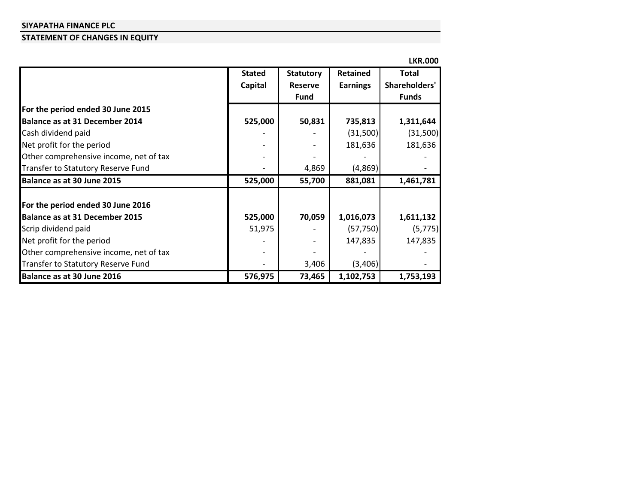# **STATEMENT OF CHANGES IN EQUITY**

|                                        |               |                  |                 | <b>LKR.000</b> |
|----------------------------------------|---------------|------------------|-----------------|----------------|
|                                        | <b>Stated</b> | <b>Statutory</b> | Retained        | <b>Total</b>   |
|                                        | Capital       | <b>Reserve</b>   | <b>Earnings</b> | Shareholders'  |
|                                        |               | <b>Fund</b>      |                 | <b>Funds</b>   |
| For the period ended 30 June 2015      |               |                  |                 |                |
| Balance as at 31 December 2014         | 525,000       | 50,831           | 735,813         | 1,311,644      |
| Cash dividend paid                     |               |                  | (31,500)        | (31,500)       |
| Net profit for the period              |               |                  | 181,636         | 181,636        |
| Other comprehensive income, net of tax |               |                  |                 |                |
| Transfer to Statutory Reserve Fund     |               | 4,869            | (4,869)         |                |
| Balance as at 30 June 2015             | 525,000       | 55,700           | 881,081         | 1,461,781      |
| For the period ended 30 June 2016      |               |                  |                 |                |
| <b>Balance as at 31 December 2015</b>  | 525,000       | 70,059           | 1,016,073       | 1,611,132      |
| Scrip dividend paid                    | 51,975        |                  | (57, 750)       | (5, 775)       |
| Net profit for the period              |               |                  | 147,835         | 147,835        |
| Other comprehensive income, net of tax |               |                  |                 |                |
| Transfer to Statutory Reserve Fund     |               | 3,406            | (3,406)         |                |
| Balance as at 30 June 2016             | 576,975       | 73,465           | 1,102,753       | 1,753,193      |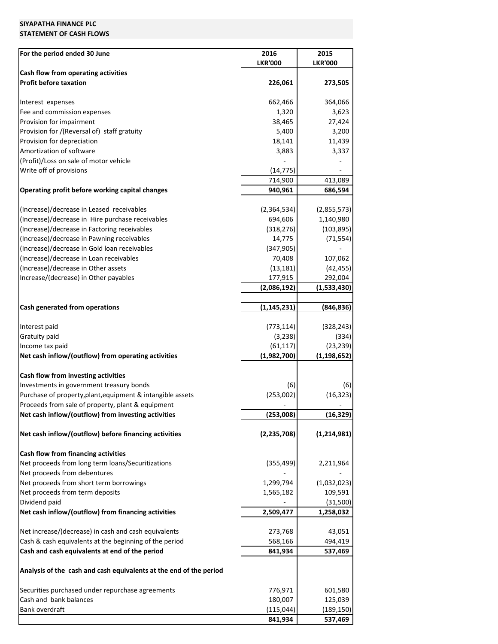#### **STATEMENT OF CASH FLOWS**

| For the period ended 30 June                                           | 2016                     | 2015                       |
|------------------------------------------------------------------------|--------------------------|----------------------------|
|                                                                        | <b>LKR'000</b>           | <b>LKR'000</b>             |
| Cash flow from operating activities                                    |                          |                            |
| <b>Profit before taxation</b>                                          | 226,061                  | 273,505                    |
| Interest expenses                                                      | 662,466                  | 364,066                    |
| Fee and commission expenses                                            | 1,320                    | 3,623                      |
| Provision for impairment                                               | 38,465                   | 27,424                     |
| Provision for /(Reversal of) staff gratuity                            | 5,400                    | 3,200                      |
| Provision for depreciation                                             | 18,141                   | 11,439                     |
| Amortization of software                                               | 3,883                    | 3,337                      |
| (Profit)/Loss on sale of motor vehicle                                 |                          |                            |
| Write off of provisions                                                | (14, 775)                |                            |
|                                                                        | 714,900                  | 413,089                    |
| Operating profit before working capital changes                        | 940,961                  | 686,594                    |
| (Increase)/decrease in Leased receivables                              | (2,364,534)              | (2,855,573)                |
| (Increase)/decrease in Hire purchase receivables                       | 694,606                  | 1,140,980                  |
| (Increase)/decrease in Factoring receivables                           | (318, 276)               | (103, 895)                 |
| (Increase)/decrease in Pawning receivables                             | 14,775                   | (71, 554)                  |
| (Increase)/decrease in Gold loan receivables                           | (347, 905)               |                            |
| (Increase)/decrease in Loan receivables                                | 70,408                   | 107,062                    |
| (Increase)/decrease in Other assets                                    | (13, 181)                | (42, 455)                  |
| Increase/(decrease) in Other payables                                  | 177,915                  | 292,004                    |
|                                                                        | (2,086,192)              | (1,533,430)                |
| Cash generated from operations                                         | (1, 145, 231)            | (846, 836)                 |
|                                                                        |                          |                            |
| Interest paid                                                          | (773, 114)               | (328, 243)                 |
| Gratuity paid                                                          | (3, 238)                 | (334)                      |
| Income tax paid<br>Net cash inflow/(outflow) from operating activities | (61, 117)<br>(1,982,700) | (23, 239)<br>(1, 198, 652) |
|                                                                        |                          |                            |
| Cash flow from investing activities                                    |                          |                            |
| Investments in government treasury bonds                               | (6)                      | (6)                        |
| Purchase of property, plant, equipment & intangible assets             | (253,002)                | (16, 323)                  |
| Proceeds from sale of property, plant & equipment                      |                          |                            |
| Net cash inflow/(outflow) from investing activities                    | (253,008)                | (16, 329)                  |
| Net cash inflow/(outflow) before financing activities                  | (2, 235, 708)            | (1, 214, 981)              |
| Cash flow from financing activities                                    |                          |                            |
| Net proceeds from long term loans/Securitizations                      | (355, 499)               | 2,211,964                  |
| Net proceeds from debentures                                           |                          |                            |
| Net proceeds from short term borrowings                                | 1,299,794                | (1,032,023)                |
| Net proceeds from term deposits                                        | 1,565,182                | 109,591                    |
| Dividend paid                                                          |                          | (31,500)                   |
| Net cash inflow/(outflow) from financing activities                    | 2,509,477                | 1,258,032                  |
| Net increase/(decrease) in cash and cash equivalents                   | 273,768                  | 43,051                     |
| Cash & cash equivalents at the beginning of the period                 | 568,166                  | 494,419                    |
| Cash and cash equivalents at end of the period                         | 841,934                  | 537,469                    |
| Analysis of the cash and cash equivalents at the end of the period     |                          |                            |
| Securities purchased under repurchase agreements                       | 776,971                  | 601,580                    |
| Cash and bank balances                                                 | 180,007                  | 125,039                    |
| Bank overdraft                                                         | (115, 044)               | (189, 150)                 |
|                                                                        | 841,934                  | 537,469                    |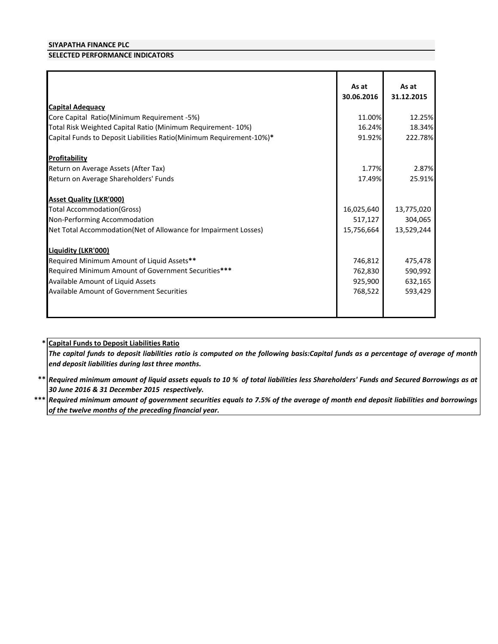## **SELECTED PERFORMANCE INDICATORS**

| <b>Capital Adequacy</b>                                              | As at<br>30.06.2016 | As at<br>31.12.2015 |
|----------------------------------------------------------------------|---------------------|---------------------|
| Core Capital Ratio(Minimum Requirement -5%)                          | 11.00%              | 12.25%              |
|                                                                      | 16.24%              |                     |
| Total Risk Weighted Capital Ratio (Minimum Requirement- 10%)         |                     | 18.34%              |
| Capital Funds to Deposit Liabilities Ratio(Minimum Requirement-10%)* | 91.92%              | 222.78%             |
| <b>Profitability</b>                                                 |                     |                     |
| Return on Average Assets (After Tax)                                 | 1.77%               | 2.87%               |
| Return on Average Shareholders' Funds                                | 17.49%              | 25.91%              |
| <b>Asset Quality (LKR'000)</b>                                       |                     |                     |
| <b>Total Accommodation (Gross)</b>                                   | 16,025,640          | 13,775,020          |
| Non-Performing Accommodation                                         | 517,127             | 304,065             |
| Net Total Accommodation(Net of Allowance for Impairment Losses)      | 15,756,664          | 13,529,244          |
| Liquidity (LKR'000)                                                  |                     |                     |
| Required Minimum Amount of Liquid Assets**                           | 746,812             | 475,478             |
| Required Minimum Amount of Government Securities***                  | 762,830             | 590,992             |
| Available Amount of Liquid Assets                                    | 925,900             | 632,165             |
| <b>Available Amount of Government Securities</b>                     | 768,522             | 593,429             |
|                                                                      |                     |                     |

# **\* Capital Funds to Deposit Liabilities Ratio**

The capital funds to deposit liabilities ratio is computed on the following basis:Capital funds as a percentage of average of month *end deposit liabilities during last three months.*

\*\* |Required minimum amount of liquid assets equals to 10 % of total liabilities less Shareholders' Funds and Secured Borrowings as at *30 June 2016 & 31 December 2015 respectively.*

 $***$   $\vert$  Required minimum amount of government securities equals to 7.5% of the average of month end deposit liabilities and borrowings *of the twelve months of the preceding financial year.*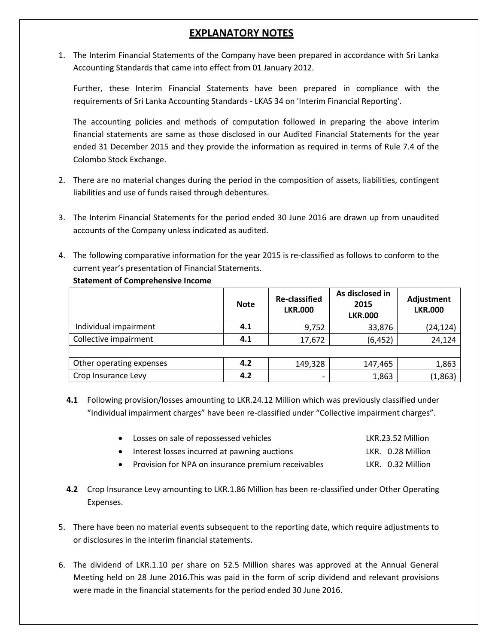# **EXPLANATORY NOTES**

1. The Interim Financial Statements of the Company have been prepared in accordance with Sri Lanka Accounting Standards that came into effect from 01 January 2012.

Further, these Interim Financial Statements have been prepared in compliance with the requirements of Sri Lanka Accounting Standards - LKAS 34 on 'Interim Financial Reporting'.

The accounting policies and methods of computation followed in preparing the above interim financial statements are same as those disclosed in our Audited Financial Statements for the year ended 31 December 2015 and they provide the information as required in terms of Rule 7.4 of the Colombo Stock Exchange.

- 2. There are no material changes during the period in the composition of assets, liabilities, contingent liabilities and use of funds raised through debentures.
- 3. The Interim Financial Statements for the period ended 30 June 2016 are drawn up from unaudited accounts of the Company unless indicated as audited.
- 4. The following comparative information for the year 2015 is re-classified as follows to conform to the current year's presentation of Financial Statements.

|                          | <b>Note</b> | <b>Re-classified</b><br><b>LKR.000</b> | As disclosed in<br>2015<br><b>LKR.000</b> | Adjustment<br><b>LKR.000</b> |
|--------------------------|-------------|----------------------------------------|-------------------------------------------|------------------------------|
| Individual impairment    | 4.1         | 9,752                                  | 33,876                                    | (24, 124)                    |
| Collective impairment    | 4.1         | 17,672                                 | (6, 452)                                  | 24,124                       |
|                          |             |                                        |                                           |                              |
| Other operating expenses | 4.2         | 149,328                                | 147,465                                   | 1,863                        |
| Crop Insurance Levy      | 4.2         |                                        | 1,863                                     | (1,863)                      |

**Statement of Comprehensive Income**

**4.1** Following provision/losses amounting to LKR.24.12 Million which was previously classified under "Individual impairment charges" have been re-classified under "Collective impairment charges".

| • Losses on sale of repossessed vehicles             | LKR.23.52 Million |
|------------------------------------------------------|-------------------|
| • Interest losses incurred at pawning auctions       | LKR. 0.28 Million |
| • Provision for NPA on insurance premium receivables | LKR. 0.32 Million |

- **4.2** Crop Insurance Levy amounting to LKR.1.86 Million has been re-classified under Other Operating Expenses.
- 5. There have been no material events subsequent to the reporting date, which require adjustments to or disclosures in the interim financial statements.
- 6. The dividend of LKR.1.10 per share on 52.5 Million shares was approved at the Annual General Meeting held on 28 June 2016.This was paid in the form of scrip dividend and relevant provisions were made in the financial statements for the period ended 30 June 2016.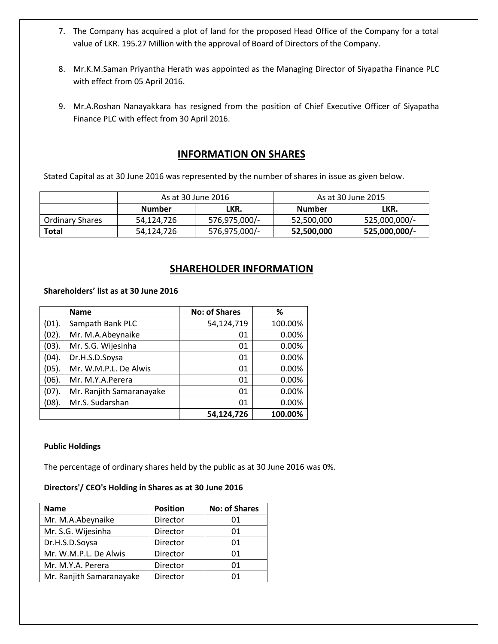- 7. The Company has acquired a plot of land for the proposed Head Office of the Company for a total value of LKR. 195.27 Million with the approval of Board of Directors of the Company.
- 8. Mr.K.M.Saman Priyantha Herath was appointed as the Managing Director of Siyapatha Finance PLC with effect from 05 April 2016.
- 9. Mr.A.Roshan Nanayakkara has resigned from the position of Chief Executive Officer of Siyapatha Finance PLC with effect from 30 April 2016.

# **INFORMATION ON SHARES**

Stated Capital as at 30 June 2016 was represented by the number of shares in issue as given below.

|                        |               | As at 30 June 2016 | As at 30 June 2015 |               |  |
|------------------------|---------------|--------------------|--------------------|---------------|--|
|                        | <b>Number</b> | LKR.               | Number             | LKR.          |  |
| <b>Ordinary Shares</b> | 54,124,726    | 576,975,000/-      | 52,500,000         | 525,000,000/- |  |
| Total                  | 54,124,726    | 576,975,000/-      | 52,500,000         | 525,000,000/- |  |

# **SHAREHOLDER INFORMATION**

### **Shareholders' list as at 30 June 2016**

|       | <b>Name</b>              | <b>No: of Shares</b> | ℅       |
|-------|--------------------------|----------------------|---------|
| (01). | Sampath Bank PLC         | 54,124,719           | 100.00% |
| (02). | Mr. M.A.Abeynaike        | 01                   | 0.00%   |
| (03). | Mr. S.G. Wijesinha       | 01                   | 0.00%   |
| (04). | Dr.H.S.D.Soysa           | 01                   | 0.00%   |
| (05). | Mr. W.M.P.L. De Alwis    | 01                   | 0.00%   |
| (06). | Mr. M.Y.A.Perera         | 01                   | 0.00%   |
| (07). | Mr. Ranjith Samaranayake | 01                   | 0.00%   |
| (08). | Mr.S. Sudarshan          | 01                   | 0.00%   |
|       |                          | 54,124,726           | 100.00% |

### **Public Holdings**

The percentage of ordinary shares held by the public as at 30 June 2016 was 0%.

### **Directors'/ CEO's Holding in Shares as at 30 June 2016**

| <b>Name</b>              | <b>Position</b> | <b>No: of Shares</b> |
|--------------------------|-----------------|----------------------|
| Mr. M.A.Abeynaike        | Director        | 01                   |
| Mr. S.G. Wijesinha       | Director        | 01                   |
| Dr.H.S.D.Soysa           | Director        | 01                   |
| Mr. W.M.P.L. De Alwis    | Director        | 01                   |
| Mr. M.Y.A. Perera        | Director        | 01                   |
| Mr. Ranjith Samaranayake | Director        | በ1                   |